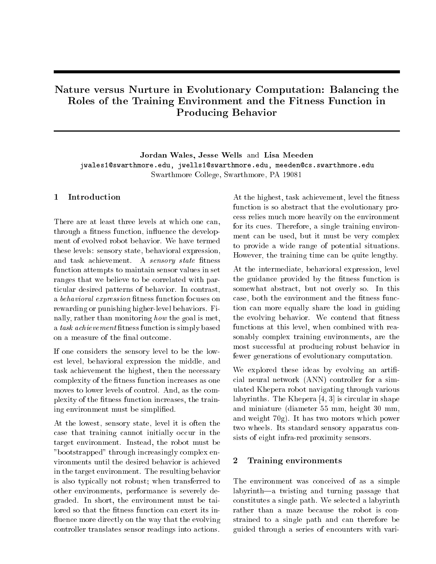# Nature versus Nurture in Evolutionary Computation: Balancing the Roles of the Training Environment and the Fitness Function in Producing Behavior

Jordan Wales, Jesse Wells and Lisa Meeden jwales1@swarthmore.edu, jwells1@swarthmore.edu, meeden@cs.swarthmore.edu Swarthmore College, Swarthmore, PA 19081

#### Introduction  $\mathbf{1}$

There are at least three levels at which one can, through a fitness function, influence the development of evolved robot behavior. We have termed these levels: sensory state, behavioral expression, and task achievement. A sensory state fitness function attempts to maintain sensor values in set ranges that we believe to be correlated with particular desired patterns of behavior. In contrast, a *behavioral expression* fitness function focuses on rewarding or punishing higher-level behaviors. Finally, rather than monitoring how the goal is met, a task achievement fitness function is simply based on a measure of the final outcome.

If one considers the sensory level to be the lowest level, behavioral expression the middle, and task achievement the highest, then the necessary complexity of the fitness function increases as one moves to lower levels of control. And, as the complexity of the fitness function increases, the training environment must be simplied.

At the lowest, sensory state, level it is often the case that training cannot initially occur in the target environment. Instead, the robot must be "bootstrapped" through increasingly complex environments until the desired behavior is achieved in the target environment. The resulting behavior is also typically not robust; when transferred to other environments, performance is severely degraded. In short, the environment must be tailored so that the fitness function can exert its influence more directly on the way that the evolving controller translates sensor readings into actions.

At the highest, task achievement, level the fitness function is so abstract that the evolutionary process relies much more heavily on the environment for its cues. Therefore, a single training environment can be used, but it must be very complex to provide a wide range of potential situations. However, the training time can be quite lengthy.

At the intermediate, behavioral expression, level the guidance provided by the fitness function is somewhat abstract, but not overly so. In this case, both the environment and the fitness function can more equally share the load in guiding the evolving behavior. We contend that fitness functions at this level, when combined with reasonably complex training environments, are the most successful at producing robust behavior in fewer generations of evolutionary computation.

We explored these ideas by evolving an artificial neural network (ANN) controller for a simulated Khepera robot navigating through various labyrinths. The Khepera [4, 3] is circular in shape and miniature (diameter 55 mm, height 30 mm, and weight 70g). It has two motors which power two wheels. Its standard sensory apparatus consists of eight infra-red proximity sensors.

#### 2Training environments

The environment was conceived of as a simple  $l$ a twisting and turning passage that constitutes a single path. We selected a labyrinth rather than a maze because the robot is constrained to a single path and can therefore be guided through a series of encounters with vari-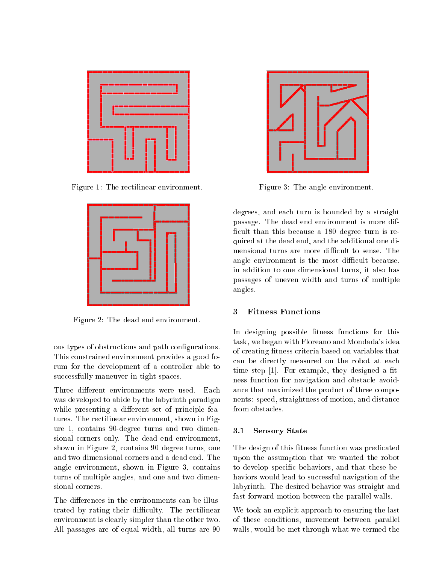

Figure 1: The rectilinear environment.



Figure 2: The dead end environment.

ous types of obstructions and path congurations. This constrained environment provides a good forum for the development of a controller able to successfully maneuver in tight spaces.

Three different environments were used. Each was developed to abide by the labyrinth paradigm while presenting a different set of principle features. The rectilinear environment, shown in Figure 1, contains 90-degree turns and two dimensional corners only. The dead end environment, shown in Figure 2, contains 90 degree turns, one and two dimensional corners and a dead end. The angle environment, shown in Figure 3, contains turns of multiple angles, and one and two dimensional corners.

The differences in the environments can be illustrated by rating their difficulty. The rectilinear environment is clearly simpler than the other two. All passages are of equal width, all turns are 90



Figure 3: The angle environment.

degrees, and each turn is bounded by a straight passage. The dead end environment is more dif ficult than this because a 180 degree turn is required at the dead end, and the additional one dimensional turns are more difficult to sense. The angle environment is the most difficult because, in addition to one dimensional turns, it also has passages of uneven width and turns of multiple angles.

#### 3Fitness Functions

In designing possible fitness functions for this task, we began with Floreano and Mondada's idea of creating fitness criteria based on variables that can be directly measured on the robot at each time step  $[1]$ . For example, they designed a fitness function for navigation and obstacle avoidance that maximized the product of three components: speed, straightness of motion, and distance from obstacles.

### 3.1 Sensory State

The design of this fitness function was predicated upon the assumption that we wanted the robot to develop specic behaviors, and that these behaviors would lead to successful navigation of the labyrinth. The desired behavior was straight and fast forward motion between the parallel walls.

We took an explicit approach to ensuring the last of these conditions, movement between parallel walls, would be met through what we termed the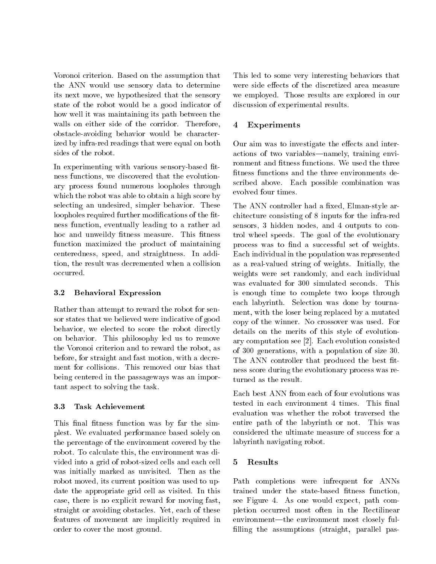Voronoi criterion. Based on the assumption that the ANN would use sensory data to determine its next move, we hypothesized that the sensory state of the robot would be a good indicator of how well it was maintaining its path between the walls on either side of the corridor. Therefore, obstacle-avoiding behavior would be characterized by infra-red readings that were equal on both sides of the robot.

In experimenting with various sensory-based fitness functions, we discovered that the evolutionary process found numerous loopholes through which the robot was able to obtain a high score by selecting an undesired, simpler behavior. These loopholes required further modifications of the fitness function, eventually leading to a rather ad hoc and unweildy fitness measure. This fitness function maximized the product of maintaining centeredness, speed, and straightness. In addition, the result was decremented when a collision occurred.

### 3.2 Behavioral Expression

Rather than attempt to reward the robot for sensor states that we believed were indicative of good behavior, we elected to score the robot directly on behavior. This philosophy led us to remove the Voronoi criterion and to reward the robot, as before, for straight and fast motion, with a decrement for collisions. This removed our bias that being centered in the passageways was an important aspect to solving the task.

## 3.3 Task Achievement

This final fitness function was by far the simplest. We evaluated performance based solely on the percentage of the environment covered by the robot. To calculate this, the environment was divided into a grid of robot-sized cells and each cell was initially marked as unvisited. Then as the robot moved, its current position was used to update the appropriate grid cell as visited. In this case, there is no explicit reward for moving fast, straight or avoiding obstacles. Yet, each of these features of movement are implicitly required in order to cover the most ground.

This led to some very interesting behaviors that were side effects of the discretized area measure we employed. Those results are explored in our discussion of experimental results.

### 4Experiments

Our aim was to investigate the effects and interactions of two variables—namely, training environment and fitness functions. We used the three fitness functions and the three environments described above. Each possible combination was evolved four times.

The ANN controller had a fixed, Elman-style architecture consisting of 8 inputs for the infra-red sensors, 3 hidden nodes, and 4 outputs to control wheel speeds. The goal of the evolutionary process was to find a successful set of weights. Each individual in the population was represented as a real-valued string of weights. Initially, the weights were set randomly, and each individual was evaluated for 300 simulated seconds. This is enough time to complete two loops through each labyrinth. Selection was done by tournament, with the loser being replaced by a mutated copy of the winner. No crossover was used. For details on the merits of this style of evolutionary computation see [2]. Each evolution consisted of 300 generations, with a population of size 30. The ANN controller that produced the best fitness score during the evolutionary process was returned as the result.

Each best ANN from each of four evolutions was tested in each environment 4 times. This final evaluation was whether the robot traversed the entire path of the labyrinth or not. This was considered the ultimate measure of success for a labyrinth navigating robot.

### 5Results

Path completions were infrequent for ANNs trained under the state-based fitness function, see Figure 4. As one would expect, path completion occurred most often in the Rectilinear environment—the environment most closely fulfilling the assumptions (straight, parallel pas-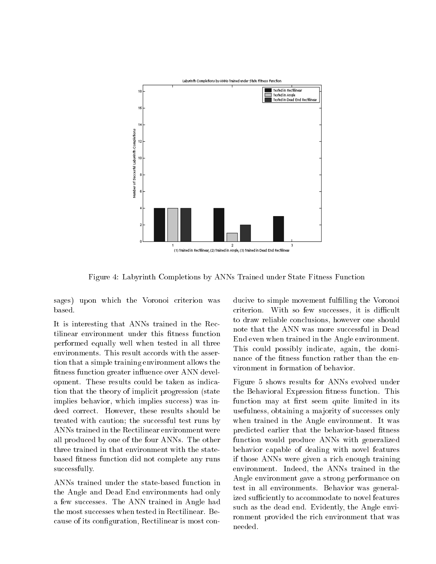

Figure 4: Labyrinth Completions by ANNs Trained under State Fitness Function

sages) upon which the Voronoi criterion was based.

It is interesting that ANNs trained in the Rectilinear environment under this fitness function performed equally well when tested in all three environments. This result accords with the assertion that a simple training environment allows the fitness function greater influence over ANN development. These results could be taken as indication that the theory of implicit progression (state implies behavior, which implies success) was indeed correct. However, these results should be treated with caution; the successful test runs by ANNs trained in the Rectilinear environment were all produced by one of the four ANNs. The other three trained in that environment with the statebased fitness function did not complete any runs successfully.

ANNs trained under the state-based function in the Angle and Dead End environments had only a few successes. The ANN trained in Angle had the most successes when tested in Rectilinear. Because of its configuration, Rectilinear is most con-

ducive to simple movement fulfilling the Voronoi criterion. With so few successes, it is difficult to draw reliable conclusions, however one should note that the ANN was more successful in Dead End even when trained in the Angle environment. This could possibly indicate, again, the dominance of the fitness function rather than the environment in formation of behavior.

Figure 5 shows results for ANNs evolved under the Behavioral Expression fitness function. This function may at first seem quite limited in its usefulness, obtaining a majority of successes only when trained in the Angle environment. It was predicted earlier that the behavior-based fitness function would produce ANNs with generalized behavior capable of dealing with novel features if those ANNs were given a rich enough training environment. Indeed, the ANNs trained in the Angle environment gave a strong performance on test in all environments. Behavior was generalized sufficiently to accommodate to novel features such as the dead end. Evidently, the Angle environment provided the rich environment that was needed.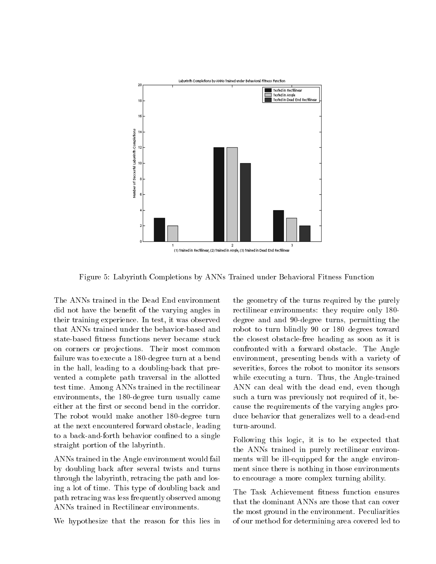

Figure 5: Labyrinth Completions by ANNs Trained under Behavioral Fitness Function

The ANNs trained in the Dead End environment did not have the benefit of the varying angles in their training experience. In test, it was observed that ANNs trained under the behavior-based and state-based fitness functions never became stuck on corners or projections. Their most common failure was to execute a 180-degree turn at a bend in the hall, leading to a doubling-back that prevented a complete path traversal in the allotted test time. Among ANNs trained in the rectilinear environments, the 180-degree turn usually came either at the first or second bend in the corridor. The robot would make another 180-degree turn at the next encountered forward obstacle, leading to a back-and-forth behavior confined to a single straight portion of the labyrinth.

ANNs trained in the Angle environment would fail by doubling back after several twists and turns through the labyrinth, retracing the path and losing a lot of time. This type of doubling back and path retracing was less frequently observed among ANNs trained in Rectilinear environments.

We hypothesize that the reason for this lies in

the geometry of the turns required by the purely rectilinear environments: they require only 180 degree and and 90-degree turns, permitting the robot to turn blindly 90 or 180 degrees toward the closest obstacle-free heading as soon as it is confronted with a forward obstacle. The Angle environment, presenting bends with a variety of severities, forces the robot to monitor its sensors while executing a turn. Thus, the Angle-trained ANN can deal with the dead end, even though such a turn was previously not required of it, because the requirements of the varying angles produce behavior that generalizes well to a dead-end turn-around.

Following this logic, it is to be expected that the ANNs trained in purely rectilinear environments will be ill-equipped for the angle environment since there is nothing in those environments to encourage a more complex turning ability.

The Task Achievement fitness function ensures that the dominant ANNs are those that can cover the most ground in the environment. Peculiarities of our method for determining area covered led to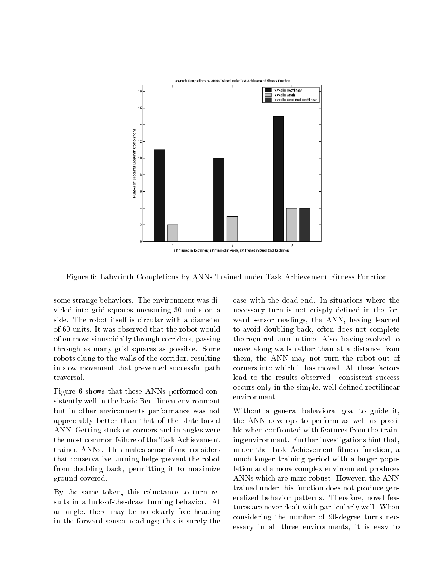

Figure 6: Labyrinth Completions by ANNs Trained under Task Achievement Fitness Function

some strange behaviors. The environment was divided into grid squares measuring 30 units on a side. The robot itself is circular with a diameter of 60 units. It was observed that the robot would often move sinusoidally through corridors, passing through as many grid squares as possible. Some robots clung to the walls of the corridor, resulting in slow movement that prevented successful path traversal.

Figure 6 shows that these ANNs performed consistently well in the basic Rectilinear environment but in other environments performance was not appreciably better than that of the state-based ANN. Getting stuck on corners and in angles were the most common failure of the Task Achievement trained ANNs. This makes sense if one considers that conservative turning helps prevent the robot from doubling back, permitting it to maximize ground covered.

By the same token, this reluctance to turn results in a luck-of-the-draw turning behavior. At an angle, there may be no clearly free heading in the forward sensor readings; this is surely the

case with the dead end. In situations where the necessary turn is not crisply defined in the forward sensor readings, the ANN, having learned to avoid doubling back, often does not complete the required turn in time. Also, having evolved to move along walls rather than at a distance from them, the ANN may not turn the robot out of corners into which it has moved. All these factors lead to the results observed—consistent success occurs only in the simple, well-defined rectilinear environment.

Without a general behavioral goal to guide it, the ANN develops to perform as well as possible when confronted with features from the training environment. Further investigations hint that, under the Task Achievement fitness function, a much longer training period with a larger population and a more complex environment produces ANNs which are more robust. However, the ANN trained under this function does not produce generalized behavior patterns. Therefore, novel features are never dealt with particularly well. When considering the number of 90-degree turns necessary in all three environments, it is easy to